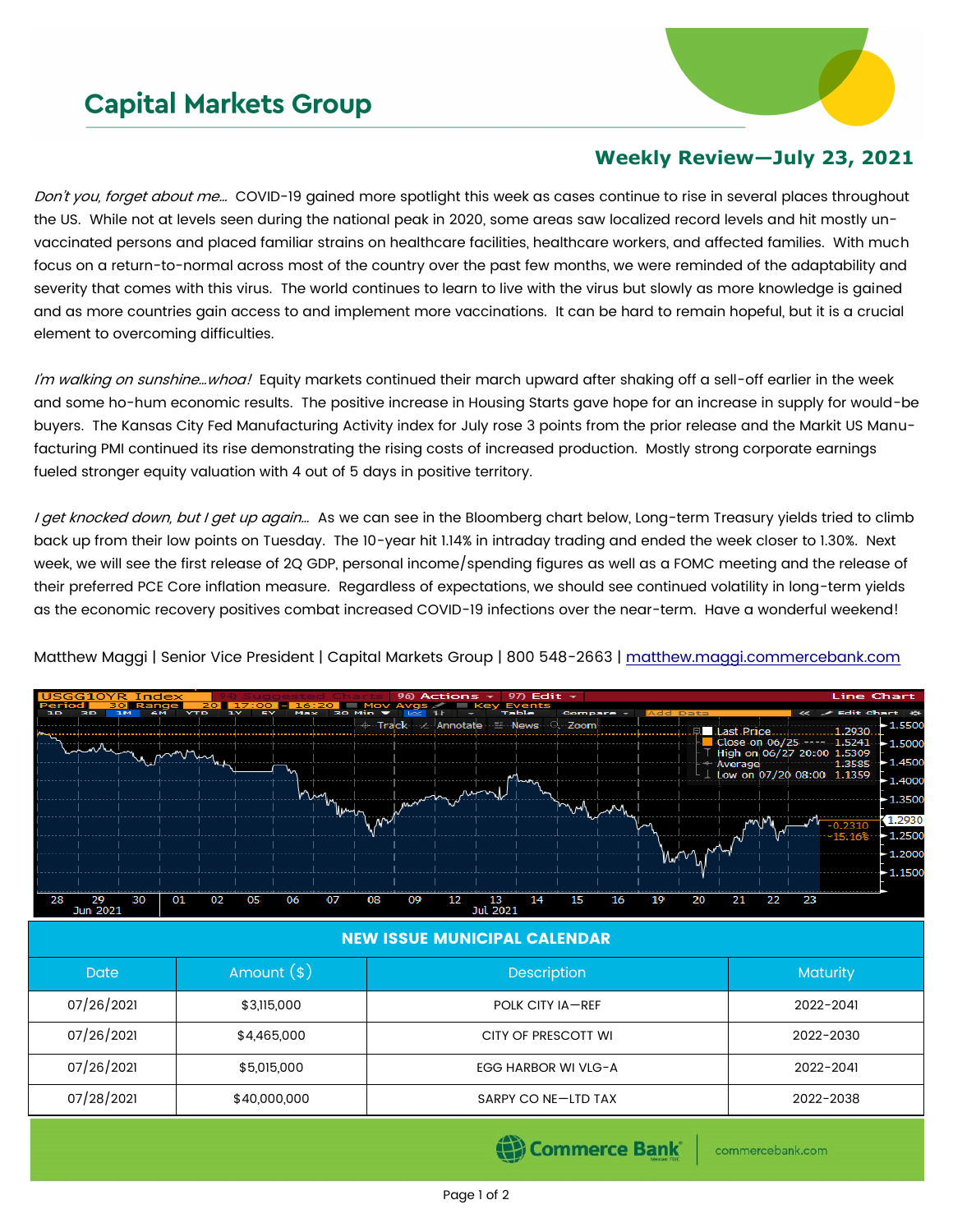## **Capital Markets Group**



## **Weekly Review—July 23, 2021**

Don't you, forget about me... COVID-19 gained more spotlight this week as cases continue to rise in several places throughout the US. While not at levels seen during the national peak in 2020, some areas saw localized record levels and hit mostly unvaccinated persons and placed familiar strains on healthcare facilities, healthcare workers, and affected families. With much focus on a return-to-normal across most of the country over the past few months, we were reminded of the adaptability and severity that comes with this virus. The world continues to learn to live with the virus but slowly as more knowledge is gained and as more countries gain access to and implement more vaccinations. It can be hard to remain hopeful, but it is a crucial element to overcoming difficulties.

I'm walking on sunshine...whoa! Equity markets continued their march upward after shaking off a sell-off earlier in the week and some ho-hum economic results. The positive increase in Housing Starts gave hope for an increase in supply for would-be buyers. The Kansas City Fed Manufacturing Activity index for July rose 3 points from the prior release and the Markit US Manufacturing PMI continued its rise demonstrating the rising costs of increased production. Mostly strong corporate earnings fueled stronger equity valuation with 4 out of 5 days in positive territory.

I get knocked down, but I get up again... As we can see in the Bloomberg chart below, Long-term Treasury yields tried to climb back up from their low points on Tuesday. The 10-year hit 1.14% in intraday trading and ended the week closer to 1.30%. Next week, we will see the first release of 2Q GDP, personal income/spending figures as well as a FOMC meeting and the release of their preferred PCE Core inflation measure. Regardless of expectations, we should see continued volatility in long-term yields as the economic recovery positives combat increased COVID-19 infections over the near-term. Have a wonderful weekend!



Matthew Maggi | Senior Vice President | Capital Markets Group | 800 548-2663 | [matthew.maggi.commercebank.com](mailto:matthew.maggi@commercebank.com)